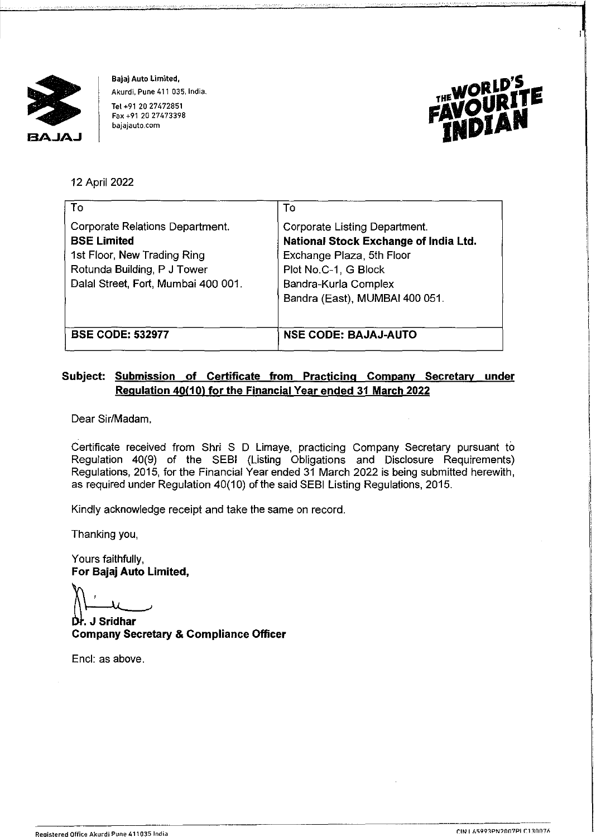

Bajaj Auto Limited, Akurdi, Pune 411 035, India.

Tel +91 20 27472851 Fax +91 20 27473398 bajajauto.com



12 April 2022

| To                                                                                   | Т٥                                                                                                         |
|--------------------------------------------------------------------------------------|------------------------------------------------------------------------------------------------------------|
| Corporate Relations Department.<br><b>BSE Limited</b><br>1st Floor, New Trading Ring | <b>Corporate Listing Department.</b><br>National Stock Exchange of India Ltd.<br>Exchange Plaza, 5th Floor |
| Rotunda Building, P J Tower<br>Dalal Street, Fort, Mumbai 400 001.                   | Plot No.C-1, G Block<br>Bandra-Kurla Complex<br>Bandra (East), MUMBAI 400 051.                             |
| <b>BSE CODE: 532977</b>                                                              | <b>NSE CODE: BAJAJ-AUTO</b>                                                                                |

## **Subject: Submission of Certificate from Practicing Company Secretary under Regulation 40(10) for the Financial Year ended 31 March 2022**

Dear Sir/Madam,

Certificate received from Shri S D Limaye, practicing Company Secretary pursuant to Regulation 40(9) of the SEBI (Listing Obligations and Disclosure Requirements) Regulations, 2015, for the Financial Year ended 31 March 2022 is being submitted herewith, as required under Regulation 40(10) of the said SEBI Listing Regulations, 2015.

Kindly acknowledge receipt and take the same on record.

Thanking you,

Yours faithfully, **For Bajaj Auto Limited,** 

. **J Sridhar Company Secretary** & **Compliance Officer** 

Encl: as above.